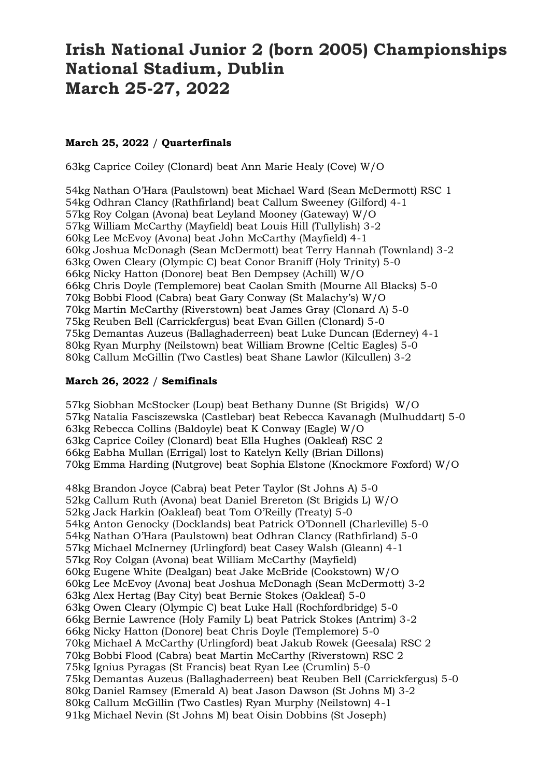## **Irish National Junior 2 (born 2005) Championships National Stadium, Dublin March 25-27, 2022**

## **March 25, 2022** / **Quarterfinals**

63kg Caprice Coiley (Clonard) beat Ann Marie Healy (Cove) W/O

54kg Nathan O'Hara (Paulstown) beat Michael Ward (Sean McDermott) RSC 1 54kg Odhran Clancy (Rathfirland) beat Callum Sweeney (Gilford) 4-1 57kg Roy Colgan (Avona) beat Leyland Mooney (Gateway) W/O 57kg William McCarthy (Mayfield) beat Louis Hill (Tullylish) 3-2 60kg Lee McEvoy (Avona) beat John McCarthy (Mayfield) 4-1 60kg Joshua McDonagh (Sean McDermott) beat Terry Hannah (Townland) 3-2 63kg Owen Cleary (Olympic C) beat Conor Braniff (Holy Trinity) 5-0 66kg Nicky Hatton (Donore) beat Ben Dempsey (Achill) W/O 66kg Chris Doyle (Templemore) beat Caolan Smith (Mourne All Blacks) 5-0 70kg Bobbi Flood (Cabra) beat Gary Conway (St Malachy's) W/O 70kg Martin McCarthy (Riverstown) beat James Gray (Clonard A) 5-0 75kg Reuben Bell (Carrickfergus) beat Evan Gillen (Clonard) 5-0 75kg Demantas Auzeus (Ballaghaderreen) beat Luke Duncan (Ederney) 4-1 80kg Ryan Murphy (Neilstown) beat William Browne (Celtic Eagles) 5-0 80kg Callum McGillin (Two Castles) beat Shane Lawlor (Kilcullen) 3-2

## **March 26, 2022** / **Semifinals**

57kg Siobhan McStocker (Loup) beat Bethany Dunne (St Brigids) W/O 57kg Natalia Fasciszewska (Castlebar) beat Rebecca Kavanagh (Mulhuddart) 5-0 63kg Rebecca Collins (Baldoyle) beat K Conway (Eagle) W/O 63kg Caprice Coiley (Clonard) beat Ella Hughes (Oakleaf) RSC 2 66kg Eabha Mullan (Errigal) lost to Katelyn Kelly (Brian Dillons) 70kg Emma Harding (Nutgrove) beat Sophia Elstone (Knockmore Foxford) W/O

48kg Brandon Joyce (Cabra) beat Peter Taylor (St Johns A) 5-0 52kg Callum Ruth (Avona) beat Daniel Brereton (St Brigids L) W/O 52kg Jack Harkin (Oakleaf) beat Tom O'Reilly (Treaty) 5-0 54kg Anton Genocky (Docklands) beat Patrick O'Donnell (Charleville) 5-0 54kg Nathan O'Hara (Paulstown) beat Odhran Clancy (Rathfirland) 5-0 57kg Michael McInerney (Urlingford) beat Casey Walsh (Gleann) 4-1 57kg Roy Colgan (Avona) beat William McCarthy (Mayfield) 60kg Eugene White (Dealgan) beat Jake McBride (Cookstown) W/O 60kg Lee McEvoy (Avona) beat Joshua McDonagh (Sean McDermott) 3-2 63kg Alex Hertag (Bay City) beat Bernie Stokes (Oakleaf) 5-0 63kg Owen Cleary (Olympic C) beat Luke Hall (Rochfordbridge) 5-0 66kg Bernie Lawrence (Holy Family L) beat Patrick Stokes (Antrim) 3-2 66kg Nicky Hatton (Donore) beat Chris Doyle (Templemore) 5-0 70kg Michael A McCarthy (Urlingford) beat Jakub Rowek (Geesala) RSC 2 70kg Bobbi Flood (Cabra) beat Martin McCarthy (Riverstown) RSC 2 75kg Ignius Pyragas (St Francis) beat Ryan Lee (Crumlin) 5-0 75kg Demantas Auzeus (Ballaghaderreen) beat Reuben Bell (Carrickfergus) 5-0 80kg Daniel Ramsey (Emerald A) beat Jason Dawson (St Johns M) 3-2 80kg Callum McGillin (Two Castles) Ryan Murphy (Neilstown) 4-1 91kg Michael Nevin (St Johns M) beat Oisin Dobbins (St Joseph)